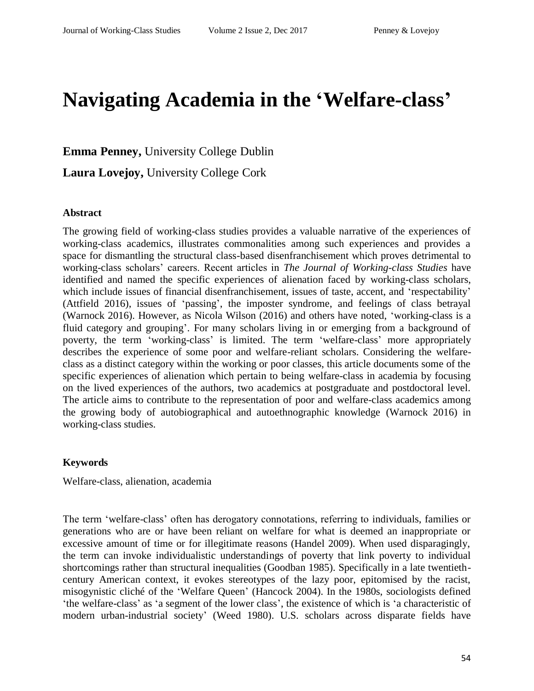# **Navigating Academia in the 'Welfare-class'**

**Emma Penney,** University College Dublin

**Laura Lovejoy,** University College Cork

#### **Abstract**

The growing field of working-class studies provides a valuable narrative of the experiences of working-class academics, illustrates commonalities among such experiences and provides a space for dismantling the structural class-based disenfranchisement which proves detrimental to working-class scholars' careers. Recent articles in *The Journal of Working-class Studies* have identified and named the specific experiences of alienation faced by working-class scholars, which include issues of financial disenfranchisement, issues of taste, accent, and 'respectability' (Attfield 2016), issues of 'passing', the imposter syndrome, and feelings of class betrayal (Warnock 2016). However, as Nicola Wilson (2016) and others have noted, 'working-class is a fluid category and grouping'. For many scholars living in or emerging from a background of poverty, the term 'working-class' is limited. The term 'welfare-class' more appropriately describes the experience of some poor and welfare-reliant scholars. Considering the welfareclass as a distinct category within the working or poor classes, this article documents some of the specific experiences of alienation which pertain to being welfare-class in academia by focusing on the lived experiences of the authors, two academics at postgraduate and postdoctoral level. The article aims to contribute to the representation of poor and welfare-class academics among the growing body of autobiographical and autoethnographic knowledge (Warnock 2016) in working-class studies.

#### **Keywords**

Welfare-class, alienation, academia

The term 'welfare-class' often has derogatory connotations, referring to individuals, families or generations who are or have been reliant on welfare for what is deemed an inappropriate or excessive amount of time or for illegitimate reasons (Handel 2009). When used disparagingly, the term can invoke individualistic understandings of poverty that link poverty to individual shortcomings rather than structural inequalities (Goodban 1985). Specifically in a late twentiethcentury American context, it evokes stereotypes of the lazy poor, epitomised by the racist, misogynistic cliché of the 'Welfare Queen' (Hancock 2004). In the 1980s, sociologists defined 'the welfare-class' as 'a segment of the lower class', the existence of which is 'a characteristic of modern urban-industrial society' (Weed 1980). U.S. scholars across disparate fields have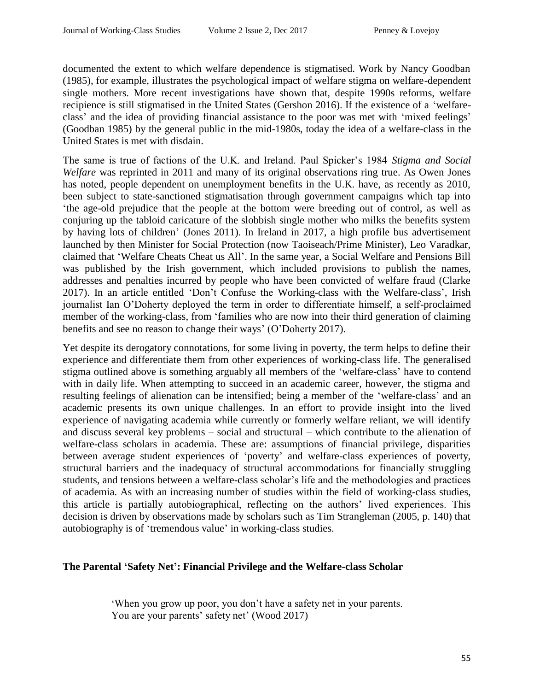documented the extent to which welfare dependence is stigmatised. Work by Nancy Goodban (1985), for example, illustrates the psychological impact of welfare stigma on welfare-dependent single mothers. More recent investigations have shown that, despite 1990s reforms, welfare recipience is still stigmatised in the United States (Gershon 2016). If the existence of a 'welfareclass' and the idea of providing financial assistance to the poor was met with 'mixed feelings' (Goodban 1985) by the general public in the mid-1980s, today the idea of a welfare-class in the United States is met with disdain.

The same is true of factions of the U.K. and Ireland. Paul Spicker's 1984 *Stigma and Social Welfare* was reprinted in 2011 and many of its original observations ring true. As Owen Jones has noted, people dependent on unemployment benefits in the U.K. have, as recently as 2010, been subject to state-sanctioned stigmatisation through government campaigns which tap into 'the age-old prejudice that the people at the bottom were breeding out of control, as well as conjuring up the tabloid caricature of the slobbish single mother who milks the benefits system by having lots of children' (Jones 2011). In Ireland in 2017, a high profile bus advertisement launched by then Minister for Social Protection (now Taoiseach/Prime Minister), Leo Varadkar, claimed that 'Welfare Cheats Cheat us All'. In the same year, a Social Welfare and Pensions Bill was published by the Irish government, which included provisions to publish the names, addresses and penalties incurred by people who have been convicted of welfare fraud (Clarke 2017). In an article entitled 'Don't Confuse the Working-class with the Welfare-class', Irish journalist Ian O'Doherty deployed the term in order to differentiate himself, a self-proclaimed member of the working-class, from 'families who are now into their third generation of claiming benefits and see no reason to change their ways' (O'Doherty 2017).

Yet despite its derogatory connotations, for some living in poverty, the term helps to define their experience and differentiate them from other experiences of working-class life. The generalised stigma outlined above is something arguably all members of the 'welfare-class' have to contend with in daily life. When attempting to succeed in an academic career, however, the stigma and resulting feelings of alienation can be intensified; being a member of the 'welfare-class' and an academic presents its own unique challenges. In an effort to provide insight into the lived experience of navigating academia while currently or formerly welfare reliant, we will identify and discuss several key problems – social and structural – which contribute to the alienation of welfare-class scholars in academia. These are: assumptions of financial privilege, disparities between average student experiences of 'poverty' and welfare-class experiences of poverty, structural barriers and the inadequacy of structural accommodations for financially struggling students, and tensions between a welfare-class scholar's life and the methodologies and practices of academia. As with an increasing number of studies within the field of working-class studies, this article is partially autobiographical, reflecting on the authors' lived experiences. This decision is driven by observations made by scholars such as Tim Strangleman (2005, p. 140) that autobiography is of 'tremendous value' in working-class studies.

# **The Parental 'Safety Net': Financial Privilege and the Welfare-class Scholar**

'When you grow up poor, you don't have a safety net in your parents. You are your parents' safety net' (Wood 2017)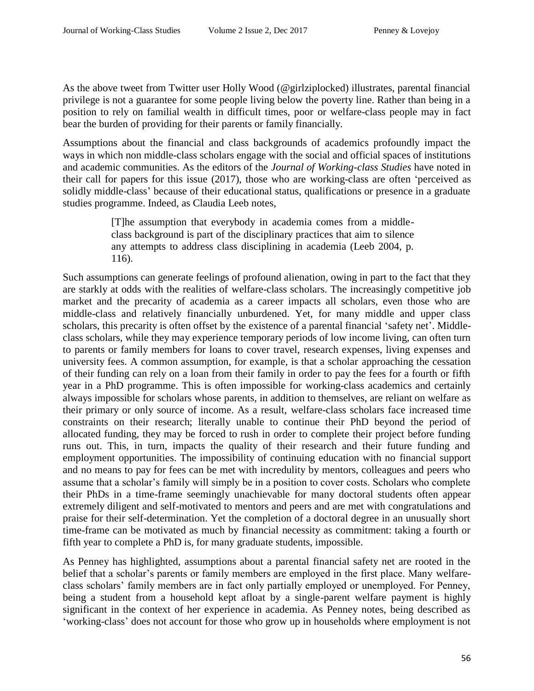As the above tweet from Twitter user Holly Wood (@girlziplocked) illustrates, parental financial privilege is not a guarantee for some people living below the poverty line. Rather than being in a position to rely on familial wealth in difficult times, poor or welfare-class people may in fact bear the burden of providing for their parents or family financially.

Assumptions about the financial and class backgrounds of academics profoundly impact the ways in which non middle-class scholars engage with the social and official spaces of institutions and academic communities. As the editors of the *Journal of Working-class Studies* have noted in their call for papers for this issue (2017), those who are working-class are often 'perceived as solidly middle-class' because of their educational status, qualifications or presence in a graduate studies programme. Indeed, as Claudia Leeb notes,

> [T]he assumption that everybody in academia comes from a middleclass background is part of the disciplinary practices that aim to silence any attempts to address class disciplining in academia (Leeb 2004, p. 116).

Such assumptions can generate feelings of profound alienation, owing in part to the fact that they are starkly at odds with the realities of welfare-class scholars. The increasingly competitive job market and the precarity of academia as a career impacts all scholars, even those who are middle-class and relatively financially unburdened. Yet, for many middle and upper class scholars, this precarity is often offset by the existence of a parental financial 'safety net'. Middleclass scholars, while they may experience temporary periods of low income living, can often turn to parents or family members for loans to cover travel, research expenses, living expenses and university fees. A common assumption, for example, is that a scholar approaching the cessation of their funding can rely on a loan from their family in order to pay the fees for a fourth or fifth year in a PhD programme. This is often impossible for working-class academics and certainly always impossible for scholars whose parents, in addition to themselves, are reliant on welfare as their primary or only source of income. As a result, welfare-class scholars face increased time constraints on their research; literally unable to continue their PhD beyond the period of allocated funding, they may be forced to rush in order to complete their project before funding runs out. This, in turn, impacts the quality of their research and their future funding and employment opportunities. The impossibility of continuing education with no financial support and no means to pay for fees can be met with incredulity by mentors, colleagues and peers who assume that a scholar's family will simply be in a position to cover costs. Scholars who complete their PhDs in a time-frame seemingly unachievable for many doctoral students often appear extremely diligent and self-motivated to mentors and peers and are met with congratulations and praise for their self-determination. Yet the completion of a doctoral degree in an unusually short time-frame can be motivated as much by financial necessity as commitment: taking a fourth or fifth year to complete a PhD is, for many graduate students, impossible.

As Penney has highlighted, assumptions about a parental financial safety net are rooted in the belief that a scholar's parents or family members are employed in the first place. Many welfareclass scholars' family members are in fact only partially employed or unemployed. For Penney, being a student from a household kept afloat by a single-parent welfare payment is highly significant in the context of her experience in academia. As Penney notes, being described as 'working-class' does not account for those who grow up in households where employment is not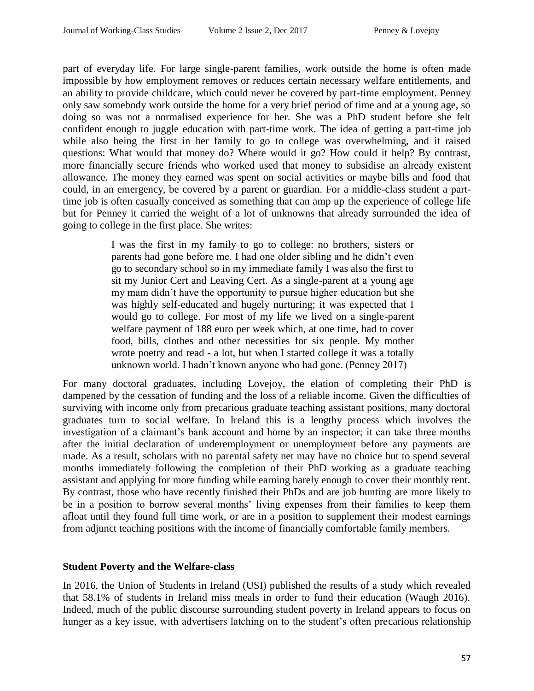part of everyday life. For large single-parent families, work outside the home is often made impossible by how employment removes or reduces certain necessary welfare entitlements, and an ability to provide childcare, which could never be covered by part-time employment. Penney only saw somebody work outside the home for a very brief period of time and at a young age, so doing so was not a normalised experience for her. She was a PhD student before she felt confident enough to juggle education with part-time work. The idea of getting a part-time job while also being the first in her family to go to college was overwhelming, and it raised questions: What would that money do? Where would it go? How could it help? By contrast, more financially secure friends who worked used that money to subsidise an already existent allowance. The money they earned was spent on social activities or maybe bills and food that could, in an emergency, be covered by a parent or guardian. For a middle-class student a parttime job is often casually conceived as something that can amp up the experience of college life but for Penney it carried the weight of a lot of unknowns that already surrounded the idea of going to college in the first place. She writes:

> I was the first in my family to go to college: no brothers, sisters or parents had gone before me. I had one older sibling and he didn't even go to secondary school so in my immediate family I was also the first to sit my Junior Cert and Leaving Cert. As a single-parent at a young age my mam didn't have the opportunity to pursue higher education but she was highly self-educated and hugely nurturing; it was expected that I would go to college. For most of my life we lived on a single-parent welfare payment of 188 euro per week which, at one time, had to cover food, bills, clothes and other necessities for six people. My mother wrote poetry and read - a lot, but when I started college it was a totally unknown world. I hadn't known anyone who had gone. (Penney 2017)

For many doctoral graduates, including Lovejoy, the elation of completing their PhD is dampened by the cessation of funding and the loss of a reliable income. Given the difficulties of surviving with income only from precarious graduate teaching assistant positions, many doctoral graduates turn to social welfare. In Ireland this is a lengthy process which involves the investigation of a claimant's bank account and home by an inspector; it can take three months after the initial declaration of underemployment or unemployment before any payments are made. As a result, scholars with no parental safety net may have no choice but to spend several months immediately following the completion of their PhD working as a graduate teaching assistant and applying for more funding while earning barely enough to cover their monthly rent. By contrast, those who have recently finished their PhDs and are job hunting are more likely to be in a position to borrow several months' living expenses from their families to keep them afloat until they found full time work, or are in a position to supplement their modest earnings from adjunct teaching positions with the income of financially comfortable family members.

# **Student Poverty and the Welfare-class**

In 2016, the Union of Students in Ireland (USI) published the results of a study which revealed that 58.1% of students in Ireland miss meals in order to fund their education (Waugh 2016). Indeed, much of the public discourse surrounding student poverty in Ireland appears to focus on hunger as a key issue, with advertisers latching on to the student's often precarious relationship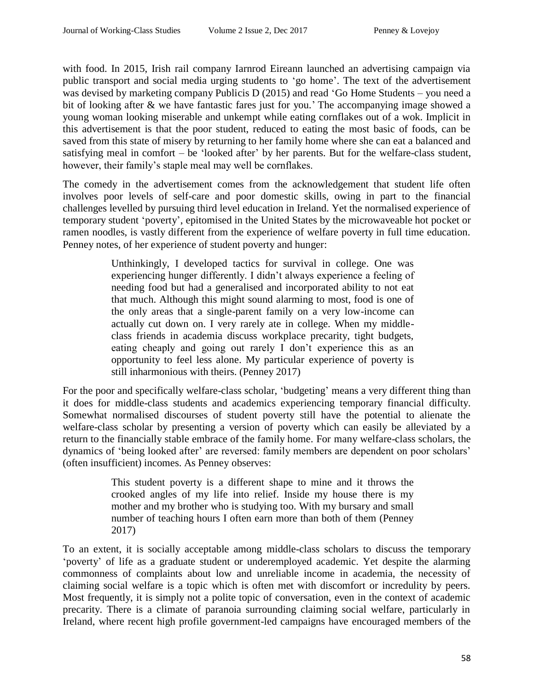with food. In 2015, Irish rail company Iarnrod Eireann launched an advertising campaign via public transport and social media urging students to 'go home'. The text of the advertisement was devised by marketing company Publicis D (2015) and read 'Go Home Students – you need a bit of looking after & we have fantastic fares just for you.' The accompanying image showed a young woman looking miserable and unkempt while eating cornflakes out of a wok. Implicit in this advertisement is that the poor student, reduced to eating the most basic of foods, can be saved from this state of misery by returning to her family home where she can eat a balanced and satisfying meal in comfort – be 'looked after' by her parents. But for the welfare-class student, however, their family's staple meal may well be cornflakes.

The comedy in the advertisement comes from the acknowledgement that student life often involves poor levels of self-care and poor domestic skills, owing in part to the financial challenges levelled by pursuing third level education in Ireland. Yet the normalised experience of temporary student 'poverty', epitomised in the United States by the microwaveable hot pocket or ramen noodles, is vastly different from the experience of welfare poverty in full time education. Penney notes, of her experience of student poverty and hunger:

> Unthinkingly, I developed tactics for survival in college. One was experiencing hunger differently. I didn't always experience a feeling of needing food but had a generalised and incorporated ability to not eat that much. Although this might sound alarming to most, food is one of the only areas that a single-parent family on a very low-income can actually cut down on. I very rarely ate in college. When my middleclass friends in academia discuss workplace precarity, tight budgets, eating cheaply and going out rarely I don't experience this as an opportunity to feel less alone. My particular experience of poverty is still inharmonious with theirs. (Penney 2017)

For the poor and specifically welfare-class scholar, 'budgeting' means a very different thing than it does for middle-class students and academics experiencing temporary financial difficulty. Somewhat normalised discourses of student poverty still have the potential to alienate the welfare-class scholar by presenting a version of poverty which can easily be alleviated by a return to the financially stable embrace of the family home. For many welfare-class scholars, the dynamics of 'being looked after' are reversed: family members are dependent on poor scholars' (often insufficient) incomes. As Penney observes:

> This student poverty is a different shape to mine and it throws the crooked angles of my life into relief. Inside my house there is my mother and my brother who is studying too. With my bursary and small number of teaching hours I often earn more than both of them (Penney 2017)

To an extent, it is socially acceptable among middle-class scholars to discuss the temporary 'poverty' of life as a graduate student or underemployed academic. Yet despite the alarming commonness of complaints about low and unreliable income in academia, the necessity of claiming social welfare is a topic which is often met with discomfort or incredulity by peers. Most frequently, it is simply not a polite topic of conversation, even in the context of academic precarity. There is a climate of paranoia surrounding claiming social welfare, particularly in Ireland, where recent high profile government-led campaigns have encouraged members of the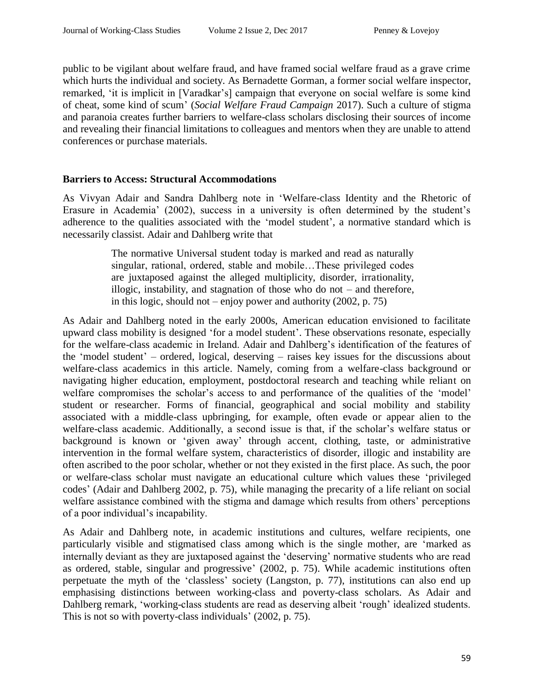public to be vigilant about welfare fraud, and have framed social welfare fraud as a grave crime which hurts the individual and society. As Bernadette Gorman, a former social welfare inspector, remarked, 'it is implicit in [Varadkar's] campaign that everyone on social welfare is some kind of cheat, some kind of scum' (*Social Welfare Fraud Campaign* 2017). Such a culture of stigma and paranoia creates further barriers to welfare-class scholars disclosing their sources of income and revealing their financial limitations to colleagues and mentors when they are unable to attend conferences or purchase materials.

#### **Barriers to Access: Structural Accommodations**

As Vivyan Adair and Sandra Dahlberg note in 'Welfare-class Identity and the Rhetoric of Erasure in Academia' (2002), success in a university is often determined by the student's adherence to the qualities associated with the 'model student', a normative standard which is necessarily classist. Adair and Dahlberg write that

> The normative Universal student today is marked and read as naturally singular, rational, ordered, stable and mobile…These privileged codes are juxtaposed against the alleged multiplicity, disorder, irrationality, illogic, instability, and stagnation of those who do not – and therefore, in this logic, should not – enjoy power and authority (2002, p. 75)

As Adair and Dahlberg noted in the early 2000s, American education envisioned to facilitate upward class mobility is designed 'for a model student'. These observations resonate, especially for the welfare-class academic in Ireland. Adair and Dahlberg's identification of the features of the 'model student' – ordered, logical, deserving – raises key issues for the discussions about welfare-class academics in this article. Namely, coming from a welfare-class background or navigating higher education, employment, postdoctoral research and teaching while reliant on welfare compromises the scholar's access to and performance of the qualities of the 'model' student or researcher. Forms of financial, geographical and social mobility and stability associated with a middle-class upbringing, for example, often evade or appear alien to the welfare-class academic. Additionally, a second issue is that, if the scholar's welfare status or background is known or 'given away' through accent, clothing, taste, or administrative intervention in the formal welfare system, characteristics of disorder, illogic and instability are often ascribed to the poor scholar, whether or not they existed in the first place. As such, the poor or welfare-class scholar must navigate an educational culture which values these 'privileged codes' (Adair and Dahlberg 2002, p. 75), while managing the precarity of a life reliant on social welfare assistance combined with the stigma and damage which results from others' perceptions of a poor individual's incapability.

As Adair and Dahlberg note, in academic institutions and cultures, welfare recipients, one particularly visible and stigmatised class among which is the single mother, are 'marked as internally deviant as they are juxtaposed against the 'deserving' normative students who are read as ordered, stable, singular and progressive' (2002, p. 75). While academic institutions often perpetuate the myth of the 'classless' society (Langston, p. 77), institutions can also end up emphasising distinctions between working-class and poverty-class scholars. As Adair and Dahlberg remark, 'working-class students are read as deserving albeit 'rough' idealized students. This is not so with poverty-class individuals' (2002, p. 75).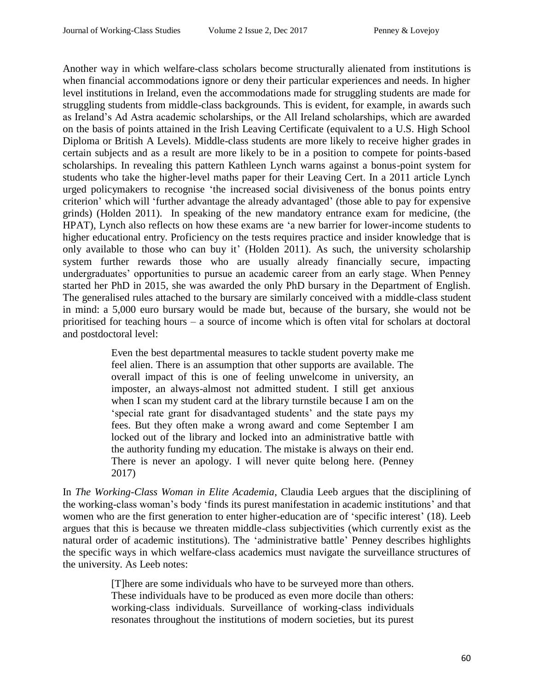Another way in which welfare-class scholars become structurally alienated from institutions is when financial accommodations ignore or deny their particular experiences and needs. In higher level institutions in Ireland, even the accommodations made for struggling students are made for struggling students from middle-class backgrounds. This is evident, for example, in awards such as Ireland's Ad Astra academic scholarships, or the All Ireland scholarships, which are awarded on the basis of points attained in the Irish Leaving Certificate (equivalent to a U.S. High School Diploma or British A Levels). Middle-class students are more likely to receive higher grades in certain subjects and as a result are more likely to be in a position to compete for points-based scholarships. In revealing this pattern Kathleen Lynch warns against a bonus-point system for students who take the higher-level maths paper for their Leaving Cert. In a 2011 article Lynch urged policymakers to recognise 'the increased social divisiveness of the bonus points entry criterion' which will 'further advantage the already advantaged' (those able to pay for expensive grinds) (Holden 2011). In speaking of the new mandatory entrance exam for medicine, (the HPAT), Lynch also reflects on how these exams are 'a new barrier for lower-income students to higher educational entry. Proficiency on the tests requires practice and insider knowledge that is only available to those who can buy it' (Holden 2011). As such, the university scholarship system further rewards those who are usually already financially secure, impacting undergraduates' opportunities to pursue an academic career from an early stage. When Penney started her PhD in 2015, she was awarded the only PhD bursary in the Department of English. The generalised rules attached to the bursary are similarly conceived with a middle-class student in mind: a 5,000 euro bursary would be made but, because of the bursary, she would not be prioritised for teaching hours – a source of income which is often vital for scholars at doctoral and postdoctoral level:

> Even the best departmental measures to tackle student poverty make me feel alien. There is an assumption that other supports are available. The overall impact of this is one of feeling unwelcome in university, an imposter, an always-almost not admitted student. I still get anxious when I scan my student card at the library turnstile because I am on the 'special rate grant for disadvantaged students' and the state pays my fees. But they often make a wrong award and come September I am locked out of the library and locked into an administrative battle with the authority funding my education. The mistake is always on their end. There is never an apology. I will never quite belong here. (Penney 2017)

In *The Working-Class Woman in Elite Academia*, Claudia Leeb argues that the disciplining of the working-class woman's body 'finds its purest manifestation in academic institutions' and that women who are the first generation to enter higher-education are of 'specific interest' (18). Leeb argues that this is because we threaten middle-class subjectivities (which currently exist as the natural order of academic institutions). The 'administrative battle' Penney describes highlights the specific ways in which welfare-class academics must navigate the surveillance structures of the university. As Leeb notes:

> [T]here are some individuals who have to be surveyed more than others. These individuals have to be produced as even more docile than others: working-class individuals. Surveillance of working-class individuals resonates throughout the institutions of modern societies, but its purest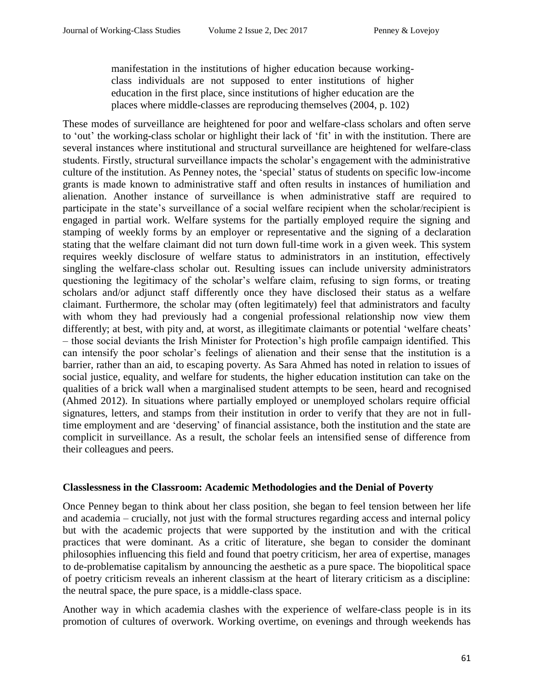manifestation in the institutions of higher education because workingclass individuals are not supposed to enter institutions of higher education in the first place, since institutions of higher education are the places where middle-classes are reproducing themselves (2004, p. 102)

These modes of surveillance are heightened for poor and welfare-class scholars and often serve to 'out' the working-class scholar or highlight their lack of 'fit' in with the institution. There are several instances where institutional and structural surveillance are heightened for welfare-class students. Firstly, structural surveillance impacts the scholar's engagement with the administrative culture of the institution. As Penney notes, the 'special' status of students on specific low-income grants is made known to administrative staff and often results in instances of humiliation and alienation. Another instance of surveillance is when administrative staff are required to participate in the state's surveillance of a social welfare recipient when the scholar/recipient is engaged in partial work. Welfare systems for the partially employed require the signing and stamping of weekly forms by an employer or representative and the signing of a declaration stating that the welfare claimant did not turn down full-time work in a given week. This system requires weekly disclosure of welfare status to administrators in an institution, effectively singling the welfare-class scholar out. Resulting issues can include university administrators questioning the legitimacy of the scholar's welfare claim, refusing to sign forms, or treating scholars and/or adjunct staff differently once they have disclosed their status as a welfare claimant. Furthermore, the scholar may (often legitimately) feel that administrators and faculty with whom they had previously had a congenial professional relationship now view them differently; at best, with pity and, at worst, as illegitimate claimants or potential 'welfare cheats' – those social deviants the Irish Minister for Protection's high profile campaign identified. This can intensify the poor scholar's feelings of alienation and their sense that the institution is a barrier, rather than an aid, to escaping poverty. As Sara Ahmed has noted in relation to issues of social justice, equality, and welfare for students, the higher education institution can take on the qualities of a brick wall when a marginalised student attempts to be seen, heard and recognised (Ahmed 2012). In situations where partially employed or unemployed scholars require official signatures, letters, and stamps from their institution in order to verify that they are not in fulltime employment and are 'deserving' of financial assistance, both the institution and the state are complicit in surveillance. As a result, the scholar feels an intensified sense of difference from their colleagues and peers.

#### **Classlessness in the Classroom: Academic Methodologies and the Denial of Poverty**

Once Penney began to think about her class position, she began to feel tension between her life and academia – crucially, not just with the formal structures regarding access and internal policy but with the academic projects that were supported by the institution and with the critical practices that were dominant. As a critic of literature, she began to consider the dominant philosophies influencing this field and found that poetry criticism, her area of expertise, manages to de-problematise capitalism by announcing the aesthetic as a pure space. The biopolitical space of poetry criticism reveals an inherent classism at the heart of literary criticism as a discipline: the neutral space, the pure space, is a middle-class space.

Another way in which academia clashes with the experience of welfare-class people is in its promotion of cultures of overwork. Working overtime, on evenings and through weekends has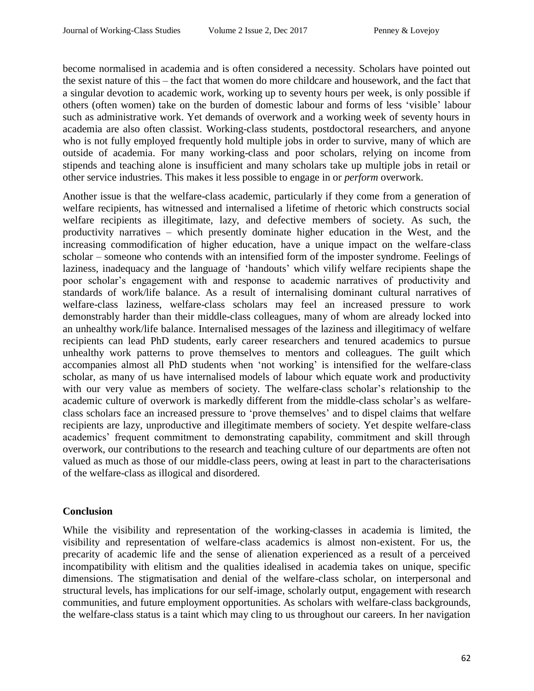become normalised in academia and is often considered a necessity. Scholars have pointed out the sexist nature of this – the fact that women do more childcare and housework, and the fact that a singular devotion to academic work, working up to seventy hours per week, is only possible if others (often women) take on the burden of domestic labour and forms of less 'visible' labour such as administrative work. Yet demands of overwork and a working week of seventy hours in academia are also often classist. Working-class students, postdoctoral researchers, and anyone who is not fully employed frequently hold multiple jobs in order to survive, many of which are outside of academia. For many working-class and poor scholars, relying on income from stipends and teaching alone is insufficient and many scholars take up multiple jobs in retail or other service industries. This makes it less possible to engage in or *perform* overwork.

Another issue is that the welfare-class academic, particularly if they come from a generation of welfare recipients, has witnessed and internalised a lifetime of rhetoric which constructs social welfare recipients as illegitimate, lazy, and defective members of society. As such, the productivity narratives – which presently dominate higher education in the West, and the increasing commodification of higher education, have a unique impact on the welfare-class scholar – someone who contends with an intensified form of the imposter syndrome. Feelings of laziness, inadequacy and the language of 'handouts' which vilify welfare recipients shape the poor scholar's engagement with and response to academic narratives of productivity and standards of work/life balance. As a result of internalising dominant cultural narratives of welfare-class laziness, welfare-class scholars may feel an increased pressure to work demonstrably harder than their middle-class colleagues, many of whom are already locked into an unhealthy work/life balance. Internalised messages of the laziness and illegitimacy of welfare recipients can lead PhD students, early career researchers and tenured academics to pursue unhealthy work patterns to prove themselves to mentors and colleagues. The guilt which accompanies almost all PhD students when 'not working' is intensified for the welfare-class scholar, as many of us have internalised models of labour which equate work and productivity with our very value as members of society. The welfare-class scholar's relationship to the academic culture of overwork is markedly different from the middle-class scholar's as welfareclass scholars face an increased pressure to 'prove themselves' and to dispel claims that welfare recipients are lazy, unproductive and illegitimate members of society. Yet despite welfare-class academics' frequent commitment to demonstrating capability, commitment and skill through overwork, our contributions to the research and teaching culture of our departments are often not valued as much as those of our middle-class peers, owing at least in part to the characterisations of the welfare-class as illogical and disordered.

# **Conclusion**

While the visibility and representation of the working-classes in academia is limited, the visibility and representation of welfare-class academics is almost non-existent. For us, the precarity of academic life and the sense of alienation experienced as a result of a perceived incompatibility with elitism and the qualities idealised in academia takes on unique, specific dimensions. The stigmatisation and denial of the welfare-class scholar, on interpersonal and structural levels, has implications for our self-image, scholarly output, engagement with research communities, and future employment opportunities. As scholars with welfare-class backgrounds, the welfare-class status is a taint which may cling to us throughout our careers. In her navigation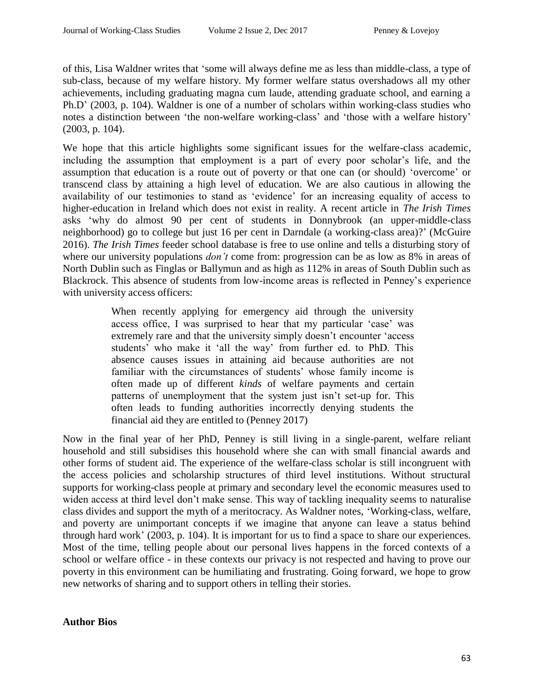of this, Lisa Waldner writes that 'some will always define me as less than middle-class, a type of sub-class, because of my welfare history. My former welfare status overshadows all my other achievements, including graduating magna cum laude, attending graduate school, and earning a Ph.D' (2003, p. 104). Waldner is one of a number of scholars within working-class studies who notes a distinction between 'the non-welfare working-class' and 'those with a welfare history' (2003, p. 104).

We hope that this article highlights some significant issues for the welfare-class academic, including the assumption that employment is a part of every poor scholar's life, and the assumption that education is a route out of poverty or that one can (or should) 'overcome' or transcend class by attaining a high level of education. We are also cautious in allowing the availability of our testimonies to stand as 'evidence' for an increasing equality of access to higher-education in Ireland which does not exist in reality. A recent article in *The Irish Times* asks 'why do almost 90 per cent of students in Donnybrook (an upper-middle-class neighborhood) go to college but just 16 per cent in Darndale (a working-class area)?' (McGuire 2016). *The Irish Times* feeder school database is free to use online and tells a disturbing story of where our university populations *don't* come from: progression can be as low as 8% in areas of North Dublin such as Finglas or Ballymun and as high as 112% in areas of South Dublin such as Blackrock. This absence of students from low-income areas is reflected in Penney's experience with university access officers:

> When recently applying for emergency aid through the university access office, I was surprised to hear that my particular 'case' was extremely rare and that the university simply doesn't encounter 'access students' who make it 'all the way' from further ed. to PhD. This absence causes issues in attaining aid because authorities are not familiar with the circumstances of students' whose family income is often made up of different *kinds* of welfare payments and certain patterns of unemployment that the system just isn't set-up for. This often leads to funding authorities incorrectly denying students the financial aid they are entitled to (Penney 2017)

Now in the final year of her PhD, Penney is still living in a single-parent, welfare reliant household and still subsidises this household where she can with small financial awards and other forms of student aid. The experience of the welfare-class scholar is still incongruent with the access policies and scholarship structures of third level institutions. Without structural supports for working-class people at primary and secondary level the economic measures used to widen access at third level don't make sense. This way of tackling inequality seems to naturalise class divides and support the myth of a meritocracy. As Waldner notes, 'Working-class, welfare, and poverty are unimportant concepts if we imagine that anyone can leave a status behind through hard work' (2003, p. 104). It is important for us to find a space to share our experiences. Most of the time, telling people about our personal lives happens in the forced contexts of a school or welfare office - in these contexts our privacy is not respected and having to prove our poverty in this environment can be humiliating and frustrating. Going forward, we hope to grow new networks of sharing and to support others in telling their stories.

# **Author Bios**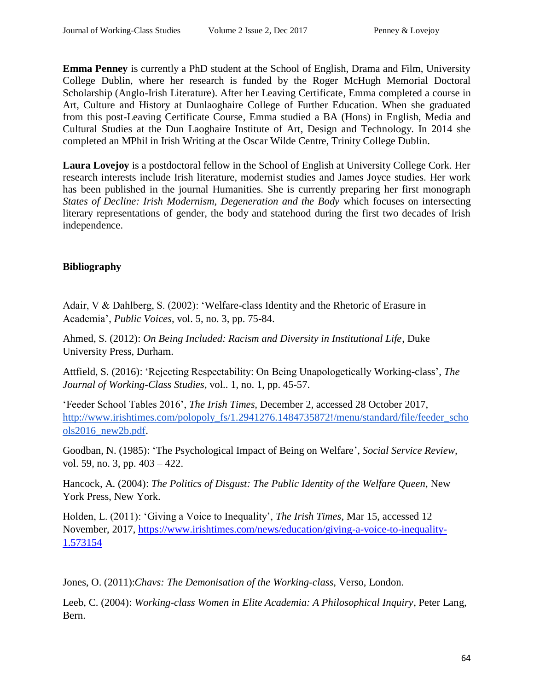**Emma Penney** is currently a PhD student at the School of English, Drama and Film, University College Dublin, where her research is funded by the Roger McHugh Memorial Doctoral Scholarship (Anglo-Irish Literature). After her Leaving Certificate, Emma completed a course in Art, Culture and History at Dunlaoghaire College of Further Education. When she graduated from this post-Leaving Certificate Course, Emma studied a BA (Hons) in English, Media and Cultural Studies at the Dun Laoghaire Institute of Art, Design and Technology. In 2014 she completed an MPhil in Irish Writing at the Oscar Wilde Centre, Trinity College Dublin.

**Laura Lovejoy** is a postdoctoral fellow in the School of English at University College Cork. Her research interests include Irish literature, modernist studies and James Joyce studies. Her work has been published in the journal Humanities. She is currently preparing her first monograph *States of Decline: Irish Modernism, Degeneration and the Body* which focuses on intersecting literary representations of gender, the body and statehood during the first two decades of Irish independence.

# **Bibliography**

Adair, V & Dahlberg, S. (2002): 'Welfare-class Identity and the Rhetoric of Erasure in Academia', *Public Voices*, vol. 5, no. 3, pp. 75-84.

Ahmed, S. (2012): *On Being Included: Racism and Diversity in Institutional Life*, Duke University Press, Durham.

Attfield, S. (2016): 'Rejecting Respectability: On Being Unapologetically Working-class', *The Journal of Working-Class Studies,* vol.. 1, no. 1, pp. 45-57.

'Feeder School Tables 2016', *The Irish Times,* December 2, accessed 28 October 2017, [http://www.irishtimes.com/polopoly\\_fs/1.2941276.1484735872!/menu/standard/file/feeder\\_scho](http://www.irishtimes.com/polopoly_fs/1.2941276.1484735872!/menu/standard/file/feeder_schools2016_new2b.pdf) [ols2016\\_new2b.pdf.](http://www.irishtimes.com/polopoly_fs/1.2941276.1484735872!/menu/standard/file/feeder_schools2016_new2b.pdf)

Goodban, N. (1985): 'The Psychological Impact of Being on Welfare', *Social Service Review,*  vol. 59, no. 3, pp. 403 – 422.

Hancock, A. (2004): *The Politics of Disgust: The Public Identity of the Welfare Queen*, New York Press, New York.

Holden, L. (2011): 'Giving a Voice to Inequality', *The Irish Times*, Mar 15, accessed 12 November, 2017, [https://www.irishtimes.com/news/education/giving-a-voice-to-inequality-](https://www.irishtimes.com/news/education/giving-a-voice-to-inequality-1.573154)[1.573154](https://www.irishtimes.com/news/education/giving-a-voice-to-inequality-1.573154)

Jones, O. (2011):*Chavs: The Demonisation of the Working-class*, Verso, London.

Leeb, C. (2004): *Working-class Women in Elite Academia: A Philosophical Inquiry*, Peter Lang, Bern.